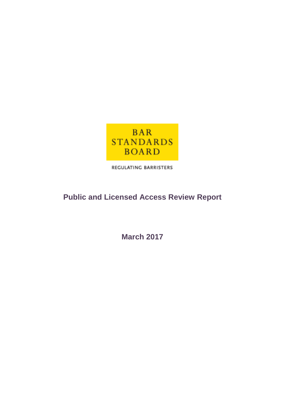

REGULATING BARRISTERS

# **Public and Licensed Access Review Report**

**March 2017**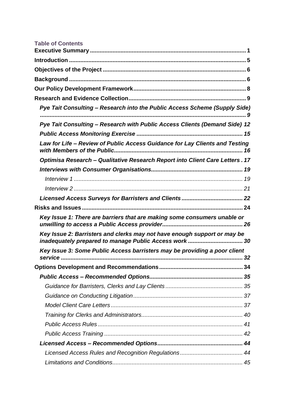| <b>Table of Contents</b>                                                                                                           |  |
|------------------------------------------------------------------------------------------------------------------------------------|--|
|                                                                                                                                    |  |
|                                                                                                                                    |  |
|                                                                                                                                    |  |
|                                                                                                                                    |  |
|                                                                                                                                    |  |
| Pye Tait Consulting - Research into the Public Access Scheme (Supply Side)                                                         |  |
|                                                                                                                                    |  |
| Pye Tait Consulting - Research with Public Access Clients (Demand Side) 12                                                         |  |
|                                                                                                                                    |  |
| Law for Life - Review of Public Access Guidance for Lay Clients and Testing                                                        |  |
| Optimisa Research - Qualitative Research Report into Client Care Letters . 17                                                      |  |
|                                                                                                                                    |  |
|                                                                                                                                    |  |
|                                                                                                                                    |  |
|                                                                                                                                    |  |
|                                                                                                                                    |  |
| Key Issue 1: There are barriers that are making some consumers unable or                                                           |  |
| Key Issue 2: Barristers and clerks may not have enough support or may be<br>inadequately prepared to manage Public Access work  30 |  |
| Key Issue 3: Some Public Access barristers may be providing a poor client                                                          |  |
|                                                                                                                                    |  |
|                                                                                                                                    |  |
|                                                                                                                                    |  |
|                                                                                                                                    |  |
|                                                                                                                                    |  |
|                                                                                                                                    |  |
|                                                                                                                                    |  |
|                                                                                                                                    |  |
|                                                                                                                                    |  |
|                                                                                                                                    |  |
|                                                                                                                                    |  |
|                                                                                                                                    |  |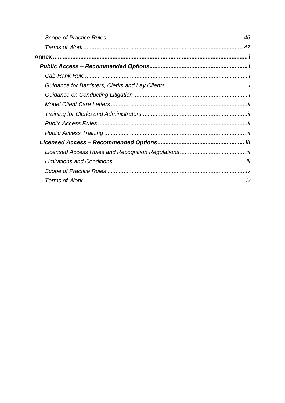| Scope of Practice Rules ……………………………………………………………………… 46 |
|--------------------------------------------------------|
|                                                        |
|                                                        |
|                                                        |
|                                                        |
|                                                        |
|                                                        |
|                                                        |
|                                                        |
|                                                        |
|                                                        |
|                                                        |
|                                                        |
|                                                        |
|                                                        |
|                                                        |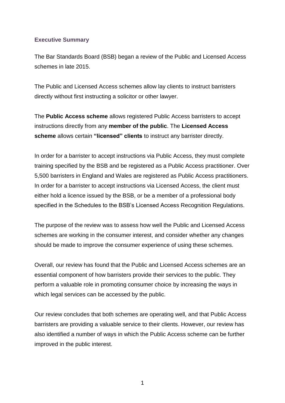#### <span id="page-3-0"></span>**Executive Summary**

The Bar Standards Board (BSB) began a review of the Public and Licensed Access schemes in late 2015.

The Public and Licensed Access schemes allow lay clients to instruct barristers directly without first instructing a solicitor or other lawyer.

The **Public Access scheme** allows registered Public Access barristers to accept instructions directly from any **member of the public**. The **Licensed Access scheme** allows certain **"licensed" clients** to instruct any barrister directly.

In order for a barrister to accept instructions via Public Access, they must complete training specified by the BSB and be registered as a Public Access practitioner. Over 5,500 barristers in England and Wales are registered as Public Access practitioners. In order for a barrister to accept instructions via Licensed Access, the client must either hold a licence issued by the BSB, or be a member of a professional body specified in the Schedules to the BSB's Licensed Access Recognition Regulations.

The purpose of the review was to assess how well the Public and Licensed Access schemes are working in the consumer interest, and consider whether any changes should be made to improve the consumer experience of using these schemes.

Overall, our review has found that the Public and Licensed Access schemes are an essential component of how barristers provide their services to the public. They perform a valuable role in promoting consumer choice by increasing the ways in which legal services can be accessed by the public.

Our review concludes that both schemes are operating well, and that Public Access barristers are providing a valuable service to their clients. However, our review has also identified a number of ways in which the Public Access scheme can be further improved in the public interest.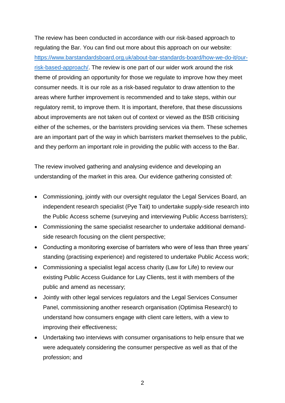The review has been conducted in accordance with our risk-based approach to regulating the Bar. You can find out more about this approach on our website: [https://www.barstandardsboard.org.uk/about-bar-standards-board/how-we-do-it/our](https://www.barstandardsboard.org.uk/about-bar-standards-board/how-we-do-it/our-risk-based-approach/)[risk-based-approach/.](https://www.barstandardsboard.org.uk/about-bar-standards-board/how-we-do-it/our-risk-based-approach/) The review is one part of our wider work around the risk theme of providing an opportunity for those we regulate to improve how they meet consumer needs. It is our role as a risk-based regulator to draw attention to the areas where further improvement is recommended and to take steps, within our regulatory remit, to improve them. It is important, therefore, that these discussions about improvements are not taken out of context or viewed as the BSB criticising either of the schemes, or the barristers providing services via them. These schemes are an important part of the way in which barristers market themselves to the public, and they perform an important role in providing the public with access to the Bar.

The review involved gathering and analysing evidence and developing an understanding of the market in this area. Our evidence gathering consisted of:

- Commissioning, jointly with our oversight regulator the Legal Services Board, an independent research specialist (Pye Tait) to undertake supply-side research into the Public Access scheme (surveying and interviewing Public Access barristers);
- Commissioning the same specialist researcher to undertake additional demandside research focusing on the client perspective;
- Conducting a monitoring exercise of barristers who were of less than three years' standing (practising experience) and registered to undertake Public Access work;
- Commissioning a specialist legal access charity (Law for Life) to review our existing Public Access Guidance for Lay Clients, test it with members of the public and amend as necessary;
- Jointly with other legal services regulators and the Legal Services Consumer Panel, commissioning another research organisation (Optimisa Research) to understand how consumers engage with client care letters, with a view to improving their effectiveness;
- Undertaking two interviews with consumer organisations to help ensure that we were adequately considering the consumer perspective as well as that of the profession; and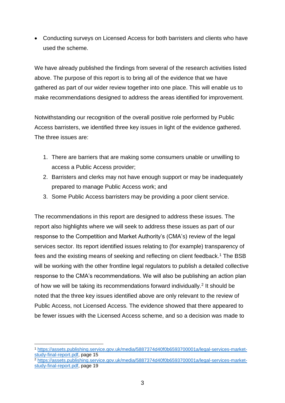Conducting surveys on Licensed Access for both barristers and clients who have used the scheme.

We have already published the findings from several of the research activities listed above. The purpose of this report is to bring all of the evidence that we have gathered as part of our wider review together into one place. This will enable us to make recommendations designed to address the areas identified for improvement.

Notwithstanding our recognition of the overall positive role performed by Public Access barristers, we identified three key issues in light of the evidence gathered. The three issues are:

- 1. There are barriers that are making some consumers unable or unwilling to access a Public Access provider;
- 2. Barristers and clerks may not have enough support or may be inadequately prepared to manage Public Access work; and
- 3. Some Public Access barristers may be providing a poor client service.

The recommendations in this report are designed to address these issues. The report also highlights where we will seek to address these issues as part of our response to the Competition and Market Authority's (CMA's) review of the legal services sector. Its report identified issues relating to (for example) transparency of fees and the existing means of seeking and reflecting on client feedback.<sup>1</sup> The BSB will be working with the other frontline legal regulators to publish a detailed collective response to the CMA's recommendations. We will also be publishing an action plan of how we will be taking its recommendations forward individually.<sup>2</sup> It should be noted that the three key issues identified above are only relevant to the review of Public Access, not Licensed Access. The evidence showed that there appeared to be fewer issues with the Licensed Access scheme, and so a decision was made to

<sup>1</sup> <sup>1</sup> [https://assets.publishing.service.gov.uk/media/5887374d40f0b6593700001a/legal-services-market](https://assets.publishing.service.gov.uk/media/5887374d40f0b6593700001a/legal-services-market-study-final-report.pdf)[study-final-report.pdf,](https://assets.publishing.service.gov.uk/media/5887374d40f0b6593700001a/legal-services-market-study-final-report.pdf) page 15

<sup>2</sup> [https://assets.publishing.service.gov.uk/media/5887374d40f0b6593700001a/legal-services-market](https://assets.publishing.service.gov.uk/media/5887374d40f0b6593700001a/legal-services-market-study-final-report.pdf)[study-final-report.pdf,](https://assets.publishing.service.gov.uk/media/5887374d40f0b6593700001a/legal-services-market-study-final-report.pdf) page 19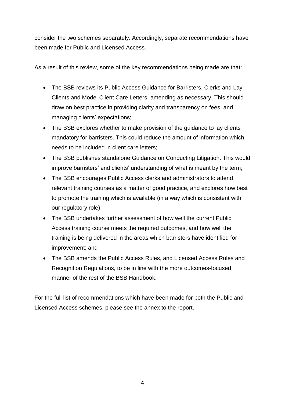consider the two schemes separately. Accordingly, separate recommendations have been made for Public and Licensed Access.

As a result of this review, some of the key recommendations being made are that:

- The BSB reviews its Public Access Guidance for Barristers, Clerks and Lay Clients and Model Client Care Letters, amending as necessary. This should draw on best practice in providing clarity and transparency on fees, and managing clients' expectations;
- The BSB explores whether to make provision of the guidance to lay clients mandatory for barristers. This could reduce the amount of information which needs to be included in client care letters;
- The BSB publishes standalone Guidance on Conducting Litigation. This would improve barristers' and clients' understanding of what is meant by the term;
- The BSB encourages Public Access clerks and administrators to attend relevant training courses as a matter of good practice, and explores how best to promote the training which is available (in a way which is consistent with our regulatory role);
- The BSB undertakes further assessment of how well the current Public Access training course meets the required outcomes, and how well the training is being delivered in the areas which barristers have identified for improvement; and
- The BSB amends the Public Access Rules, and Licensed Access Rules and Recognition Regulations, to be in line with the more outcomes-focused manner of the rest of the BSB Handbook.

For the full list of recommendations which have been made for both the Public and Licensed Access schemes, please see the annex to the report.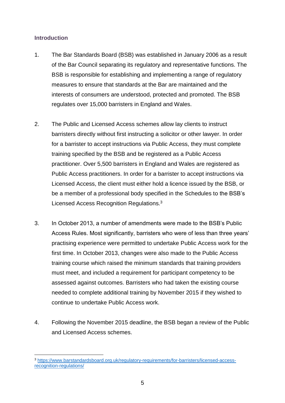#### <span id="page-7-0"></span>**Introduction**

- 1. The Bar Standards Board (BSB) was established in January 2006 as a result of the Bar Council separating its regulatory and representative functions. The BSB is responsible for establishing and implementing a range of regulatory measures to ensure that standards at the Bar are maintained and the interests of consumers are understood, protected and promoted. The BSB regulates over 15,000 barristers in England and Wales.
- 2. The Public and Licensed Access schemes allow lay clients to instruct barristers directly without first instructing a solicitor or other lawyer. In order for a barrister to accept instructions via Public Access, they must complete training specified by the BSB and be registered as a Public Access practitioner. Over 5,500 barristers in England and Wales are registered as Public Access practitioners. In order for a barrister to accept instructions via Licensed Access, the client must either hold a licence issued by the BSB, or be a member of a professional body specified in the Schedules to the BSB's Licensed Access Recognition Regulations.<sup>3</sup>
- 3. In October 2013, a number of amendments were made to the BSB's Public Access Rules. Most significantly, barristers who were of less than three years' practising experience were permitted to undertake Public Access work for the first time. In October 2013, changes were also made to the Public Access training course which raised the minimum standards that training providers must meet, and included a requirement for participant competency to be assessed against outcomes. Barristers who had taken the existing course needed to complete additional training by November 2015 if they wished to continue to undertake Public Access work.
- 4. Following the November 2015 deadline, the BSB began a review of the Public and Licensed Access schemes.

<sup>1</sup> <sup>3</sup> [https://www.barstandardsboard.org.uk/regulatory-requirements/for-barristers/licensed-access](https://www.barstandardsboard.org.uk/regulatory-requirements/for-barristers/licensed-access-recognition-regulations/)[recognition-regulations/](https://www.barstandardsboard.org.uk/regulatory-requirements/for-barristers/licensed-access-recognition-regulations/)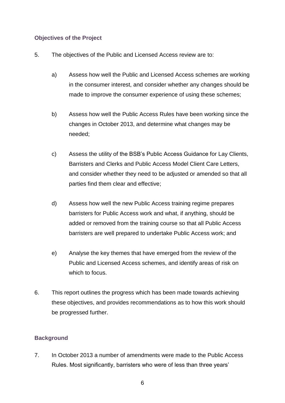# <span id="page-8-0"></span>**Objectives of the Project**

- 5. The objectives of the Public and Licensed Access review are to:
	- a) Assess how well the Public and Licensed Access schemes are working in the consumer interest, and consider whether any changes should be made to improve the consumer experience of using these schemes;
	- b) Assess how well the Public Access Rules have been working since the changes in October 2013, and determine what changes may be needed;
	- c) Assess the utility of the BSB's Public Access Guidance for Lay Clients, Barristers and Clerks and Public Access Model Client Care Letters, and consider whether they need to be adjusted or amended so that all parties find them clear and effective;
	- d) Assess how well the new Public Access training regime prepares barristers for Public Access work and what, if anything, should be added or removed from the training course so that all Public Access barristers are well prepared to undertake Public Access work; and
	- e) Analyse the key themes that have emerged from the review of the Public and Licensed Access schemes, and identify areas of risk on which to focus.
- 6. This report outlines the progress which has been made towards achieving these objectives, and provides recommendations as to how this work should be progressed further.

# <span id="page-8-1"></span>**Background**

7. In October 2013 a number of amendments were made to the Public Access Rules. Most significantly, barristers who were of less than three years'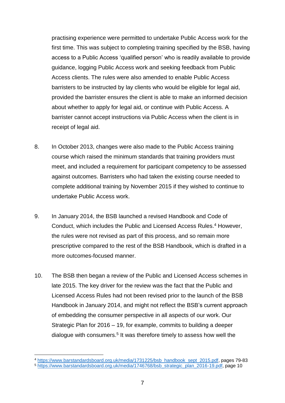practising experience were permitted to undertake Public Access work for the first time. This was subject to completing training specified by the BSB, having access to a Public Access 'qualified person' who is readily available to provide guidance, logging Public Access work and seeking feedback from Public Access clients. The rules were also amended to enable Public Access barristers to be instructed by lay clients who would be eligible for legal aid, provided the barrister ensures the client is able to make an informed decision about whether to apply for legal aid, or continue with Public Access. A barrister cannot accept instructions via Public Access when the client is in receipt of legal aid.

- 8. In October 2013, changes were also made to the Public Access training course which raised the minimum standards that training providers must meet, and included a requirement for participant competency to be assessed against outcomes. Barristers who had taken the existing course needed to complete additional training by November 2015 if they wished to continue to undertake Public Access work.
- 9. In January 2014, the BSB launched a revised Handbook and Code of Conduct, which includes the Public and Licensed Access Rules.<sup>4</sup> However, the rules were not revised as part of this process, and so remain more prescriptive compared to the rest of the BSB Handbook, which is drafted in a more outcomes-focused manner.
- 10. The BSB then began a review of the Public and Licensed Access schemes in late 2015. The key driver for the review was the fact that the Public and Licensed Access Rules had not been revised prior to the launch of the BSB Handbook in January 2014, and might not reflect the BSB's current approach of embedding the consumer perspective in all aspects of our work. Our Strategic Plan for 2016 – 19, for example, commits to building a deeper dialogue with consumers.<sup>5</sup> It was therefore timely to assess how well the

<sup>4</sup> [https://www.barstandardsboard.org.uk/media/1731225/bsb\\_handbook\\_sept\\_2015.pdf,](https://www.barstandardsboard.org.uk/media/1731225/bsb_handbook_sept_2015.pdf) pages 79-83 <sup>5</sup> [https://www.barstandardsboard.org.uk/media/1746768/bsb\\_strategic\\_plan\\_2016-19.pdf,](https://www.barstandardsboard.org.uk/media/1746768/bsb_strategic_plan_2016-19.pdf) page 10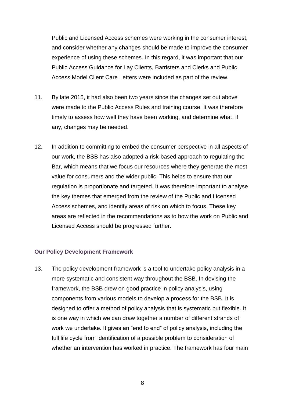Public and Licensed Access schemes were working in the consumer interest, and consider whether any changes should be made to improve the consumer experience of using these schemes. In this regard, it was important that our Public Access Guidance for Lay Clients, Barristers and Clerks and Public Access Model Client Care Letters were included as part of the review.

- 11. By late 2015, it had also been two years since the changes set out above were made to the Public Access Rules and training course. It was therefore timely to assess how well they have been working, and determine what, if any, changes may be needed.
- 12. In addition to committing to embed the consumer perspective in all aspects of our work, the BSB has also adopted a risk-based approach to regulating the Bar, which means that we focus our resources where they generate the most value for consumers and the wider public. This helps to ensure that our regulation is proportionate and targeted. It was therefore important to analyse the key themes that emerged from the review of the Public and Licensed Access schemes, and identify areas of risk on which to focus. These key areas are reflected in the recommendations as to how the work on Public and Licensed Access should be progressed further.

#### <span id="page-10-0"></span>**Our Policy Development Framework**

13. The policy development framework is a tool to undertake policy analysis in a more systematic and consistent way throughout the BSB. In devising the framework, the BSB drew on good practice in policy analysis, using components from various models to develop a process for the BSB. It is designed to offer a method of policy analysis that is systematic but flexible. It is one way in which we can draw together a number of different strands of work we undertake. It gives an "end to end" of policy analysis, including the full life cycle from identification of a possible problem to consideration of whether an intervention has worked in practice. The framework has four main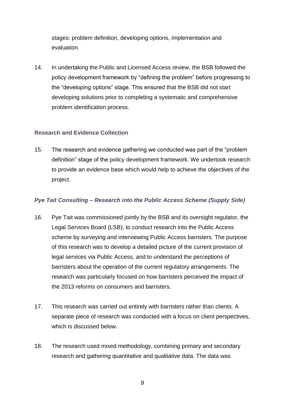stages: problem definition, developing options, implementation and evaluation.

14. In undertaking the Public and Licensed Access review, the BSB followed the policy development framework by "defining the problem" before progressing to the "developing options" stage. This ensured that the BSB did not start developing solutions prior to completing a systematic and comprehensive problem identification process.

# <span id="page-11-0"></span>**Research and Evidence Collection**

15. The research and evidence gathering we conducted was part of the "problem definition" stage of the policy development framework. We undertook research to provide an evidence base which would help to achieve the objectives of the project.

# <span id="page-11-1"></span>*Pye Tait Consulting – Research into the Public Access Scheme (Supply Side)*

- 16. Pye Tait was commissioned jointly by the BSB and its oversight regulator, the Legal Services Board (LSB), to conduct research into the Public Access scheme by surveying and interviewing Public Access barristers. The purpose of this research was to develop a detailed picture of the current provision of legal services via Public Access, and to understand the perceptions of barristers about the operation of the current regulatory arrangements. The research was particularly focused on how barristers perceived the impact of the 2013 reforms on consumers and barristers.
- 17. This research was carried out entirely with barristers rather than clients. A separate piece of research was conducted with a focus on client perspectives, which is discussed below.
- 18. The research used mixed methodology, combining primary and secondary research and gathering quantitative and qualitative data. The data was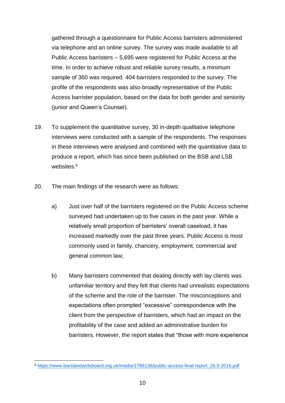gathered through a questionnaire for Public Access barristers administered via telephone and an online survey. The survey was made available to all Public Access barristers – 5,695 were registered for Public Access at the time. In order to achieve robust and reliable survey results, a minimum sample of 360 was required. 404 barristers responded to the survey. The profile of the respondents was also broadly representative of the Public Access barrister population, based on the data for both gender and seniority (junior and Queen's Counsel).

- 19. To supplement the quantitative survey, 30 in-depth qualitative telephone interviews were conducted with a sample of the respondents. The responses in these interviews were analysed and combined with the quantitative data to produce a report, which has since been published on the BSB and LSB websites.<sup>6</sup>
- 20. The main findings of the research were as follows:
	- a) Just over half of the barristers registered on the Public Access scheme surveyed had undertaken up to five cases in the past year. While a relatively small proportion of barristers' overall caseload, it has increased markedly over the past three years. Public Access is most commonly used in family, chancery, employment, commercial and general common law;
	- b) Many barristers commented that dealing directly with lay clients was unfamiliar territory and they felt that clients had unrealistic expectations of the scheme and the role of the barrister. The misconceptions and expectations often prompted "excessive" correspondence with the client from the perspective of barristers, which had an impact on the profitability of the case and added an administrative burden for barristers. However, the report states that "those with more experience

<sup>6</sup> [https://www.barstandardsboard.org.uk/media/1788136/public-access-final-report\\_26.9.2016.pdf](https://www.barstandardsboard.org.uk/media/1788136/public-access-final-report_26.9.2016.pdf)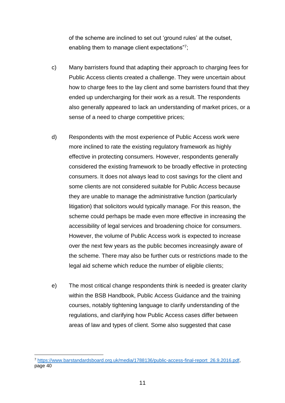of the scheme are inclined to set out 'ground rules' at the outset, enabling them to manage client expectations"7;

- c) Many barristers found that adapting their approach to charging fees for Public Access clients created a challenge. They were uncertain about how to charge fees to the lay client and some barristers found that they ended up undercharging for their work as a result. The respondents also generally appeared to lack an understanding of market prices, or a sense of a need to charge competitive prices;
- d) Respondents with the most experience of Public Access work were more inclined to rate the existing regulatory framework as highly effective in protecting consumers. However, respondents generally considered the existing framework to be broadly effective in protecting consumers. It does not always lead to cost savings for the client and some clients are not considered suitable for Public Access because they are unable to manage the administrative function (particularly litigation) that solicitors would typically manage. For this reason, the scheme could perhaps be made even more effective in increasing the accessibility of legal services and broadening choice for consumers. However, the volume of Public Access work is expected to increase over the next few years as the public becomes increasingly aware of the scheme. There may also be further cuts or restrictions made to the legal aid scheme which reduce the number of eligible clients;
- e) The most critical change respondents think is needed is greater clarity within the BSB Handbook, Public Access Guidance and the training courses, notably tightening language to clarify understanding of the regulations, and clarifying how Public Access cases differ between areas of law and types of client. Some also suggested that case

<sup>7</sup> [https://www.barstandardsboard.org.uk/media/1788136/public-access-final-report\\_26.9.2016.pdf,](https://www.barstandardsboard.org.uk/media/1788136/public-access-final-report_26.9.2016.pdf) page 40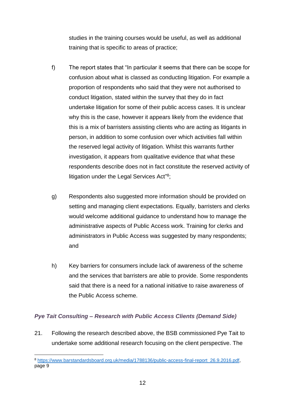studies in the training courses would be useful, as well as additional training that is specific to areas of practice;

- f) The report states that "In particular it seems that there can be scope for confusion about what is classed as conducting litigation. For example a proportion of respondents who said that they were not authorised to conduct litigation, stated within the survey that they do in fact undertake litigation for some of their public access cases. It is unclear why this is the case, however it appears likely from the evidence that this is a mix of barristers assisting clients who are acting as litigants in person, in addition to some confusion over which activities fall within the reserved legal activity of litigation. Whilst this warrants further investigation, it appears from qualitative evidence that what these respondents describe does not in fact constitute the reserved activity of litigation under the Legal Services Act"<sup>8</sup>;
- g) Respondents also suggested more information should be provided on setting and managing client expectations. Equally, barristers and clerks would welcome additional guidance to understand how to manage the administrative aspects of Public Access work. Training for clerks and administrators in Public Access was suggested by many respondents; and
- h) Key barriers for consumers include lack of awareness of the scheme and the services that barristers are able to provide. Some respondents said that there is a need for a national initiative to raise awareness of the Public Access scheme.

# <span id="page-14-0"></span>*Pye Tait Consulting – Research with Public Access Clients (Demand Side)*

21. Following the research described above, the BSB commissioned Pye Tait to undertake some additional research focusing on the client perspective. The

<sup>8</sup> [https://www.barstandardsboard.org.uk/media/1788136/public-access-final-report\\_26.9.2016.pdf,](https://www.barstandardsboard.org.uk/media/1788136/public-access-final-report_26.9.2016.pdf) page 9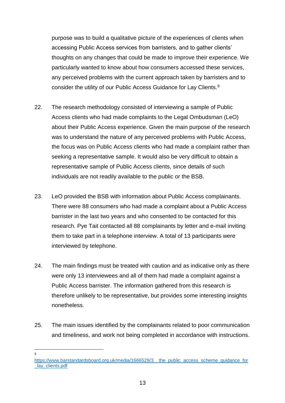purpose was to build a qualitative picture of the experiences of clients when accessing Public Access services from barristers, and to gather clients' thoughts on any changes that could be made to improve their experience. We particularly wanted to know about how consumers accessed these services, any perceived problems with the current approach taken by barristers and to consider the utility of our Public Access Guidance for Lay Clients.<sup>9</sup>

- 22. The research methodology consisted of interviewing a sample of Public Access clients who had made complaints to the Legal Ombudsman (LeO) about their Public Access experience. Given the main purpose of the research was to understand the nature of any perceived problems with Public Access, the focus was on Public Access clients who had made a complaint rather than seeking a representative sample. It would also be very difficult to obtain a representative sample of Public Access clients, since details of such individuals are not readily available to the public or the BSB.
- 23. LeO provided the BSB with information about Public Access complainants. There were 88 consumers who had made a complaint about a Public Access barrister in the last two years and who consented to be contacted for this research. Pye Tait contacted all 88 complainants by letter and e-mail inviting them to take part in a telephone interview. A total of 13 participants were interviewed by telephone.
- 24. The main findings must be treated with caution and as indicative only as there were only 13 interviewees and all of them had made a complaint against a Public Access barrister. The information gathered from this research is therefore unlikely to be representative, but provides some interesting insights nonetheless.
- 25. The main issues identified by the complainants related to poor communication and timeliness, and work not being completed in accordance with instructions.

https://www.barstandardsboard.org.uk/media/1666529/3\_the\_public\_access\_scheme\_guidance\_for lay\_clients.pdf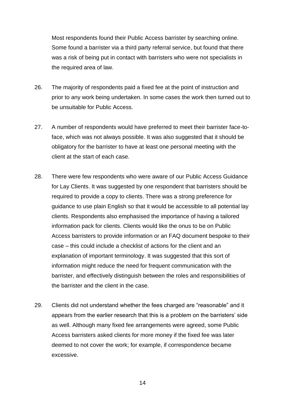Most respondents found their Public Access barrister by searching online. Some found a barrister via a third party referral service, but found that there was a risk of being put in contact with barristers who were not specialists in the required area of law.

- 26. The majority of respondents paid a fixed fee at the point of instruction and prior to any work being undertaken. In some cases the work then turned out to be unsuitable for Public Access.
- 27. A number of respondents would have preferred to meet their barrister face-toface, which was not always possible. It was also suggested that it should be obligatory for the barrister to have at least one personal meeting with the client at the start of each case.
- 28. There were few respondents who were aware of our Public Access Guidance for Lay Clients. It was suggested by one respondent that barristers should be required to provide a copy to clients. There was a strong preference for guidance to use plain English so that it would be accessible to all potential lay clients. Respondents also emphasised the importance of having a tailored information pack for clients. Clients would like the onus to be on Public Access barristers to provide information or an FAQ document bespoke to their case – this could include a checklist of actions for the client and an explanation of important terminology. It was suggested that this sort of information might reduce the need for frequent communication with the barrister, and effectively distinguish between the roles and responsibilities of the barrister and the client in the case.
- 29. Clients did not understand whether the fees charged are "reasonable" and it appears from the earlier research that this is a problem on the barristers' side as well. Although many fixed fee arrangements were agreed, some Public Access barristers asked clients for more money if the fixed fee was later deemed to not cover the work; for example, if correspondence became excessive.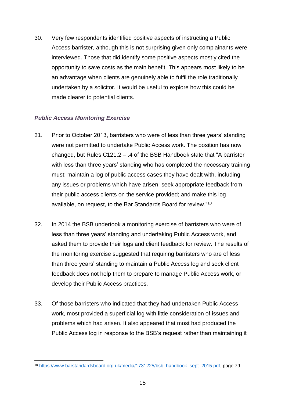30. Very few respondents identified positive aspects of instructing a Public Access barrister, although this is not surprising given only complainants were interviewed. Those that did identify some positive aspects mostly cited the opportunity to save costs as the main benefit. This appears most likely to be an advantage when clients are genuinely able to fulfil the role traditionally undertaken by a solicitor. It would be useful to explore how this could be made clearer to potential clients.

# <span id="page-17-0"></span>*Public Access Monitoring Exercise*

- 31. Prior to October 2013, barristers who were of less than three years' standing were not permitted to undertake Public Access work. The position has now changed, but Rules C121.2 – .4 of the BSB Handbook state that "A barrister with less than three years' standing who has completed the necessary training must: maintain a log of public access cases they have dealt with, including any issues or problems which have arisen; seek appropriate feedback from their public access clients on the service provided; and make this log available, on request, to the Bar Standards Board for review."<sup>10</sup>
- 32. In 2014 the BSB undertook a monitoring exercise of barristers who were of less than three years' standing and undertaking Public Access work, and asked them to provide their logs and client feedback for review. The results of the monitoring exercise suggested that requiring barristers who are of less than three years' standing to maintain a Public Access log and seek client feedback does not help them to prepare to manage Public Access work, or develop their Public Access practices.
- 33. Of those barristers who indicated that they had undertaken Public Access work, most provided a superficial log with little consideration of issues and problems which had arisen. It also appeared that most had produced the Public Access log in response to the BSB's request rather than maintaining it

<sup>10</sup> [https://www.barstandardsboard.org.uk/media/1731225/bsb\\_handbook\\_sept\\_2015.pdf,](https://www.barstandardsboard.org.uk/media/1731225/bsb_handbook_sept_2015.pdf) page 79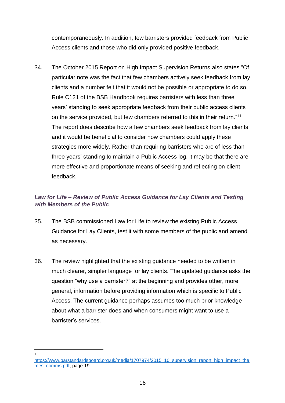contemporaneously. In addition, few barristers provided feedback from Public Access clients and those who did only provided positive feedback.

34. The October 2015 Report on High Impact Supervision Returns also states "Of particular note was the fact that few chambers actively seek feedback from lay clients and a number felt that it would not be possible or appropriate to do so. Rule C121 of the BSB Handbook requires barristers with less than three years' standing to seek appropriate feedback from their public access clients on the service provided, but few chambers referred to this in their return."<sup>11</sup> The report does describe how a few chambers seek feedback from lay clients, and it would be beneficial to consider how chambers could apply these strategies more widely. Rather than requiring barristers who are of less than three years' standing to maintain a Public Access log, it may be that there are more effective and proportionate means of seeking and reflecting on client feedback.

# <span id="page-18-0"></span>*Law for Life – Review of Public Access Guidance for Lay Clients and Testing with Members of the Public*

- 35. The BSB commissioned Law for Life to review the existing Public Access Guidance for Lay Clients, test it with some members of the public and amend as necessary.
- 36. The review highlighted that the existing guidance needed to be written in much clearer, simpler language for lay clients. The updated guidance asks the question "why use a barrister?" at the beginning and provides other, more general, information before providing information which is specific to Public Access. The current guidance perhaps assumes too much prior knowledge about what a barrister does and when consumers might want to use a barrister's services.

 $\frac{1}{11}$ 

[https://www.barstandardsboard.org.uk/media/1707974/2015\\_10\\_supervision\\_report\\_high\\_impact\\_the](https://www.barstandardsboard.org.uk/media/1707974/2015_10_supervision_report_high_impact_themes_comms.pdf) [mes\\_comms.pdf,](https://www.barstandardsboard.org.uk/media/1707974/2015_10_supervision_report_high_impact_themes_comms.pdf) page 19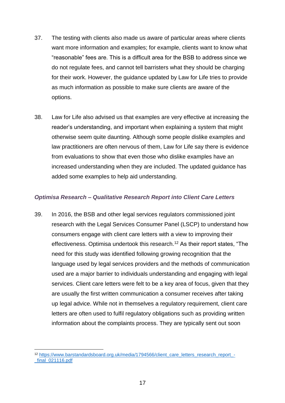- 37. The testing with clients also made us aware of particular areas where clients want more information and examples; for example, clients want to know what "reasonable" fees are. This is a difficult area for the BSB to address since we do not regulate fees, and cannot tell barristers what they should be charging for their work. However, the guidance updated by Law for Life tries to provide as much information as possible to make sure clients are aware of the options.
- 38. Law for Life also advised us that examples are very effective at increasing the reader's understanding, and important when explaining a system that might otherwise seem quite daunting. Although some people dislike examples and law practitioners are often nervous of them, Law for Life say there is evidence from evaluations to show that even those who dislike examples have an increased understanding when they are included. The updated guidance has added some examples to help aid understanding.

#### <span id="page-19-0"></span>*Optimisa Research – Qualitative Research Report into Client Care Letters*

39. In 2016, the BSB and other legal services regulators commissioned joint research with the Legal Services Consumer Panel (LSCP) to understand how consumers engage with client care letters with a view to improving their effectiveness. Optimisa undertook this research.<sup>12</sup> As their report states, "The need for this study was identified following growing recognition that the language used by legal services providers and the methods of communication used are a major barrier to individuals understanding and engaging with legal services. Client care letters were felt to be a key area of focus, given that they are usually the first written communication a consumer receives after taking up legal advice. While not in themselves a regulatory requirement, client care letters are often used to fulfil regulatory obligations such as providing written information about the complaints process. They are typically sent out soon

<sup>1</sup> 12 [https://www.barstandardsboard.org.uk/media/1794566/client\\_care\\_letters\\_research\\_report\\_-](https://www.barstandardsboard.org.uk/media/1794566/client_care_letters_research_report_-_final_021116.pdf) [\\_final\\_021116.pdf](https://www.barstandardsboard.org.uk/media/1794566/client_care_letters_research_report_-_final_021116.pdf)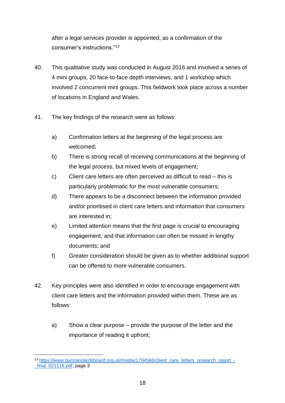after a legal services provider is appointed, as a confirmation of the consumer's instructions."<sup>13</sup>

- 40. This qualitative study was conducted in August 2016 and involved a series of 4 mini groups, 20 face-to-face depth interviews, and 1 workshop which involved 2 concurrent mini groups. This fieldwork took place across a number of locations in England and Wales.
- 41. The key findings of the research were as follows:
	- a) Confirmation letters at the beginning of the legal process are welcomed;
	- b) There is strong recall of receiving communications at the beginning of the legal process, but mixed levels of engagement;
	- c) Client care letters are often perceived as difficult to read this is particularly problematic for the most vulnerable consumers;
	- d) There appears to be a disconnect between the information provided and/or prioritised in client care letters and information that consumers are interested in;
	- e) Limited attention means that the first page is crucial to encouraging engagement, and that information can often be missed in lengthy documents; and
	- f) Greater consideration should be given as to whether additional support can be offered to more vulnerable consumers.
- 42. Key principles were also identified in order to encourage engagement with client care letters and the information provided within them. These are as follows:
	- a) Show a clear purpose provide the purpose of the letter and the importance of reading it upfront;

<sup>1</sup> <sup>13</sup> [https://www.barstandardsboard.org.uk/media/1794566/client\\_care\\_letters\\_research\\_report\\_](https://www.barstandardsboard.org.uk/media/1794566/client_care_letters_research_report_-_final_021116.pdf) final 021116.pdf, page 3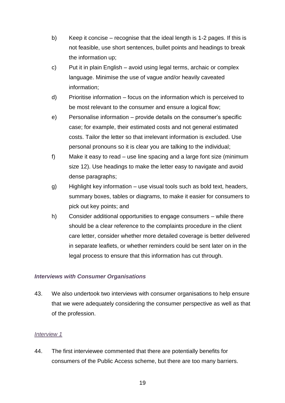- b) Keep it concise recognise that the ideal length is 1-2 pages. If this is not feasible, use short sentences, bullet points and headings to break the information up;
- c) Put it in plain English avoid using legal terms, archaic or complex language. Minimise the use of vague and/or heavily caveated information;
- d) Prioritise information focus on the information which is perceived to be most relevant to the consumer and ensure a logical flow;
- e) Personalise information provide details on the consumer's specific case; for example, their estimated costs and not general estimated costs. Tailor the letter so that irrelevant information is excluded. Use personal pronouns so it is clear you are talking to the individual;
- f) Make it easy to read use line spacing and a large font size (minimum size 12). Use headings to make the letter easy to navigate and avoid dense paragraphs;
- g) Highlight key information use visual tools such as bold text, headers, summary boxes, tables or diagrams, to make it easier for consumers to pick out key points; and
- h) Consider additional opportunities to engage consumers while there should be a clear reference to the complaints procedure in the client care letter, consider whether more detailed coverage is better delivered in separate leaflets, or whether reminders could be sent later on in the legal process to ensure that this information has cut through.

# <span id="page-21-0"></span>*Interviews with Consumer Organisations*

43. We also undertook two interviews with consumer organisations to help ensure that we were adequately considering the consumer perspective as well as that of the profession.

#### <span id="page-21-1"></span>*Interview 1*

44. The first interviewee commented that there are potentially benefits for consumers of the Public Access scheme, but there are too many barriers.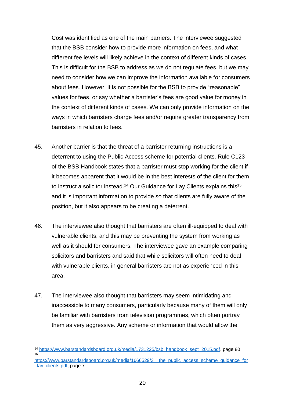Cost was identified as one of the main barriers. The interviewee suggested that the BSB consider how to provide more information on fees, and what different fee levels will likely achieve in the context of different kinds of cases. This is difficult for the BSB to address as we do not regulate fees, but we may need to consider how we can improve the information available for consumers about fees. However, it is not possible for the BSB to provide "reasonable" values for fees, or say whether a barrister's fees are good value for money in the context of different kinds of cases. We can only provide information on the ways in which barristers charge fees and/or require greater transparency from barristers in relation to fees.

- 45. Another barrier is that the threat of a barrister returning instructions is a deterrent to using the Public Access scheme for potential clients. Rule C123 of the BSB Handbook states that a barrister must stop working for the client if it becomes apparent that it would be in the best interests of the client for them to instruct a solicitor instead.<sup>14</sup> Our Guidance for Lay Clients explains this<sup>15</sup> and it is important information to provide so that clients are fully aware of the position, but it also appears to be creating a deterrent.
- 46. The interviewee also thought that barristers are often ill-equipped to deal with vulnerable clients, and this may be preventing the system from working as well as it should for consumers. The interviewee gave an example comparing solicitors and barristers and said that while solicitors will often need to deal with vulnerable clients, in general barristers are not as experienced in this area.
- 47. The interviewee also thought that barristers may seem intimidating and inaccessible to many consumers, particularly because many of them will only be familiar with barristers from television programmes, which often portray them as very aggressive. Any scheme or information that would allow the

<sup>1</sup> <sup>14</sup> [https://www.barstandardsboard.org.uk/media/1731225/bsb\\_handbook\\_sept\\_2015.pdf,](https://www.barstandardsboard.org.uk/media/1731225/bsb_handbook_sept_2015.pdf) page 80 15

https://www.barstandardsboard.org.uk/media/1666529/3\_the\_public\_access\_scheme\_guidance\_for lay\_clients.pdf, page 7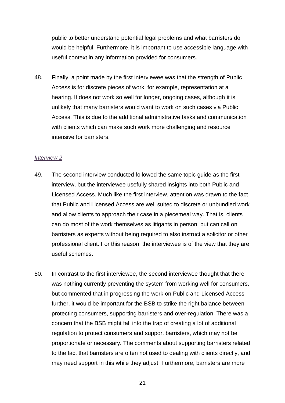public to better understand potential legal problems and what barristers do would be helpful. Furthermore, it is important to use accessible language with useful context in any information provided for consumers.

48. Finally, a point made by the first interviewee was that the strength of Public Access is for discrete pieces of work; for example, representation at a hearing. It does not work so well for longer, ongoing cases, although it is unlikely that many barristers would want to work on such cases via Public Access. This is due to the additional administrative tasks and communication with clients which can make such work more challenging and resource intensive for barristers.

#### <span id="page-23-0"></span>*Interview 2*

- 49. The second interview conducted followed the same topic guide as the first interview, but the interviewee usefully shared insights into both Public and Licensed Access. Much like the first interview, attention was drawn to the fact that Public and Licensed Access are well suited to discrete or unbundled work and allow clients to approach their case in a piecemeal way. That is, clients can do most of the work themselves as litigants in person, but can call on barristers as experts without being required to also instruct a solicitor or other professional client. For this reason, the interviewee is of the view that they are useful schemes.
- 50. In contrast to the first interviewee, the second interviewee thought that there was nothing currently preventing the system from working well for consumers, but commented that in progressing the work on Public and Licensed Access further, it would be important for the BSB to strike the right balance between protecting consumers, supporting barristers and over-regulation. There was a concern that the BSB might fall into the trap of creating a lot of additional regulation to protect consumers and support barristers, which may not be proportionate or necessary. The comments about supporting barristers related to the fact that barristers are often not used to dealing with clients directly, and may need support in this while they adjust. Furthermore, barristers are more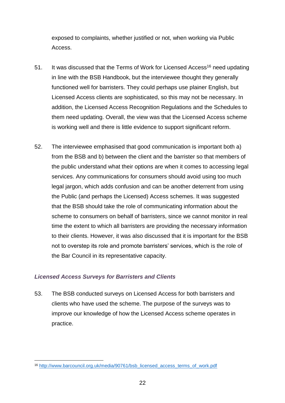exposed to complaints, whether justified or not, when working via Public Access.

- 51. It was discussed that the Terms of Work for Licensed Access<sup>16</sup> need updating in line with the BSB Handbook, but the interviewee thought they generally functioned well for barristers. They could perhaps use plainer English, but Licensed Access clients are sophisticated, so this may not be necessary. In addition, the Licensed Access Recognition Regulations and the Schedules to them need updating. Overall, the view was that the Licensed Access scheme is working well and there is little evidence to support significant reform.
- 52. The interviewee emphasised that good communication is important both a) from the BSB and b) between the client and the barrister so that members of the public understand what their options are when it comes to accessing legal services. Any communications for consumers should avoid using too much legal jargon, which adds confusion and can be another deterrent from using the Public (and perhaps the Licensed) Access schemes. It was suggested that the BSB should take the role of communicating information about the scheme to consumers on behalf of barristers, since we cannot monitor in real time the extent to which all barristers are providing the necessary information to their clients. However, it was also discussed that it is important for the BSB not to overstep its role and promote barristers' services, which is the role of the Bar Council in its representative capacity.

# <span id="page-24-0"></span>*Licensed Access Surveys for Barristers and Clients*

53. The BSB conducted surveys on Licensed Access for both barristers and clients who have used the scheme. The purpose of the surveys was to improve our knowledge of how the Licensed Access scheme operates in practice.

<sup>1</sup> 16 [http://www.barcouncil.org.uk/media/90761/bsb\\_licensed\\_access\\_terms\\_of\\_work.pdf](http://www.barcouncil.org.uk/media/90761/bsb_licensed_access_terms_of_work.pdf)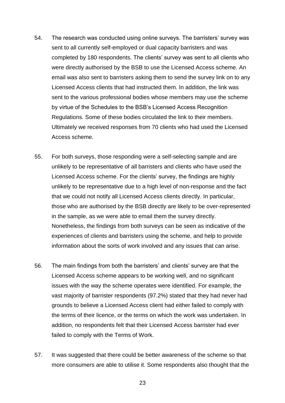- 54. The research was conducted using online surveys. The barristers' survey was sent to all currently self-employed or dual capacity barristers and was completed by 180 respondents. The clients' survey was sent to all clients who were directly authorised by the BSB to use the Licensed Access scheme. An email was also sent to barristers asking them to send the survey link on to any Licensed Access clients that had instructed them. In addition, the link was sent to the various professional bodies whose members may use the scheme by virtue of the Schedules to the BSB's Licensed Access Recognition Regulations. Some of these bodies circulated the link to their members. Ultimately we received responses from 70 clients who had used the Licensed Access scheme.
- 55. For both surveys, those responding were a self-selecting sample and are unlikely to be representative of all barristers and clients who have used the Licensed Access scheme. For the clients' survey, the findings are highly unlikely to be representative due to a high level of non-response and the fact that we could not notify all Licensed Access clients directly. In particular, those who are authorised by the BSB directly are likely to be over-represented in the sample, as we were able to email them the survey directly. Nonetheless, the findings from both surveys can be seen as indicative of the experiences of clients and barristers using the scheme, and help to provide information about the sorts of work involved and any issues that can arise.
- 56. The main findings from both the barristers' and clients' survey are that the Licensed Access scheme appears to be working well, and no significant issues with the way the scheme operates were identified. For example, the vast majority of barrister respondents (97.2%) stated that they had never had grounds to believe a Licensed Access client had either failed to comply with the terms of their licence, or the terms on which the work was undertaken. In addition, no respondents felt that their Licensed Access barrister had ever failed to comply with the Terms of Work.
- 57. It was suggested that there could be better awareness of the scheme so that more consumers are able to utilise it. Some respondents also thought that the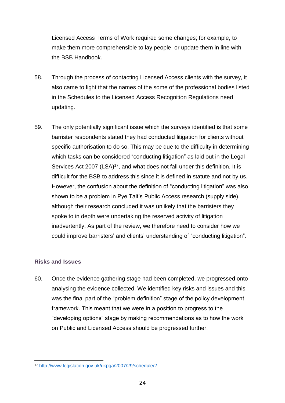Licensed Access Terms of Work required some changes; for example, to make them more comprehensible to lay people, or update them in line with the BSB Handbook.

- 58. Through the process of contacting Licensed Access clients with the survey, it also came to light that the names of the some of the professional bodies listed in the Schedules to the Licensed Access Recognition Regulations need updating.
- 59. The only potentially significant issue which the surveys identified is that some barrister respondents stated they had conducted litigation for clients without specific authorisation to do so. This may be due to the difficulty in determining which tasks can be considered "conducting litigation" as laid out in the Legal Services Act 2007 (LSA) $17$ , and what does not fall under this definition. It is difficult for the BSB to address this since it is defined in statute and not by us. However, the confusion about the definition of "conducting litigation" was also shown to be a problem in Pye Tait's Public Access research (supply side), although their research concluded it was unlikely that the barristers they spoke to in depth were undertaking the reserved activity of litigation inadvertently. As part of the review, we therefore need to consider how we could improve barristers' and clients' understanding of "conducting litigation".

# <span id="page-26-0"></span>**Risks and Issues**

1

60. Once the evidence gathering stage had been completed, we progressed onto analysing the evidence collected. We identified key risks and issues and this was the final part of the "problem definition" stage of the policy development framework. This meant that we were in a position to progress to the "developing options" stage by making recommendations as to how the work on Public and Licensed Access should be progressed further.

<sup>17</sup> <http://www.legislation.gov.uk/ukpga/2007/29/schedule/2>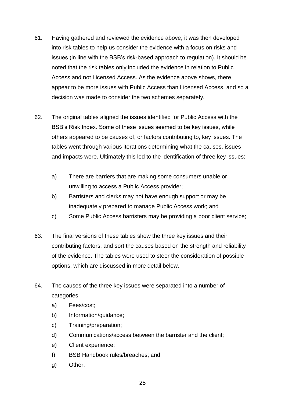- 61. Having gathered and reviewed the evidence above, it was then developed into risk tables to help us consider the evidence with a focus on risks and issues (in line with the BSB's risk-based approach to regulation). It should be noted that the risk tables only included the evidence in relation to Public Access and not Licensed Access. As the evidence above shows, there appear to be more issues with Public Access than Licensed Access, and so a decision was made to consider the two schemes separately.
- 62. The original tables aligned the issues identified for Public Access with the BSB's Risk Index. Some of these issues seemed to be key issues, while others appeared to be causes of, or factors contributing to, key issues. The tables went through various iterations determining what the causes, issues and impacts were. Ultimately this led to the identification of three key issues:
	- a) There are barriers that are making some consumers unable or unwilling to access a Public Access provider;
	- b) Barristers and clerks may not have enough support or may be inadequately prepared to manage Public Access work; and
	- c) Some Public Access barristers may be providing a poor client service;
- 63. The final versions of these tables show the three key issues and their contributing factors, and sort the causes based on the strength and reliability of the evidence. The tables were used to steer the consideration of possible options, which are discussed in more detail below.
- 64. The causes of the three key issues were separated into a number of categories:
	- a) Fees/cost;
	- b) Information/guidance;
	- c) Training/preparation;
	- d) Communications/access between the barrister and the client;
	- e) Client experience;
	- f) BSB Handbook rules/breaches; and
	- g) Other.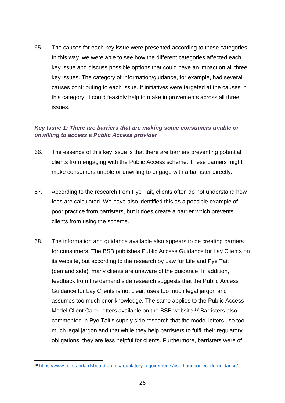65. The causes for each key issue were presented according to these categories. In this way, we were able to see how the different categories affected each key issue and discuss possible options that could have an impact on all three key issues. The category of information/guidance, for example, had several causes contributing to each issue. If initiatives were targeted at the causes in this category, it could feasibly help to make improvements across all three issues.

# <span id="page-28-0"></span>*Key Issue 1: There are barriers that are making some consumers unable or unwilling to access a Public Access provider*

- 66. The essence of this key issue is that there are barriers preventing potential clients from engaging with the Public Access scheme. These barriers might make consumers unable or unwilling to engage with a barrister directly.
- 67. According to the research from Pye Tait, clients often do not understand how fees are calculated. We have also identified this as a possible example of poor practice from barristers, but it does create a barrier which prevents clients from using the scheme.
- 68. The information and guidance available also appears to be creating barriers for consumers. The BSB publishes Public Access Guidance for Lay Clients on its website, but according to the research by Law for Life and Pye Tait (demand side), many clients are unaware of the guidance. In addition, feedback from the demand side research suggests that the Public Access Guidance for Lay Clients is not clear, uses too much legal jargon and assumes too much prior knowledge. The same applies to the Public Access Model Client Care Letters available on the BSB website.<sup>18</sup> Barristers also commented in Pye Tait's supply side research that the model letters use too much legal jargon and that while they help barristers to fulfil their regulatory obligations, they are less helpful for clients. Furthermore, barristers were of

<sup>18</sup> <https://www.barstandardsboard.org.uk/regulatory-requirements/bsb-handbook/code-guidance/>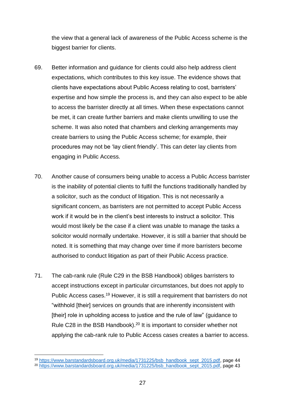the view that a general lack of awareness of the Public Access scheme is the biggest barrier for clients.

- 69. Better information and guidance for clients could also help address client expectations, which contributes to this key issue. The evidence shows that clients have expectations about Public Access relating to cost, barristers' expertise and how simple the process is, and they can also expect to be able to access the barrister directly at all times. When these expectations cannot be met, it can create further barriers and make clients unwilling to use the scheme. It was also noted that chambers and clerking arrangements may create barriers to using the Public Access scheme; for example, their procedures may not be 'lay client friendly'. This can deter lay clients from engaging in Public Access.
- 70. Another cause of consumers being unable to access a Public Access barrister is the inability of potential clients to fulfil the functions traditionally handled by a solicitor, such as the conduct of litigation. This is not necessarily a significant concern, as barristers are not permitted to accept Public Access work if it would be in the client's best interests to instruct a solicitor. This would most likely be the case if a client was unable to manage the tasks a solicitor would normally undertake. However, it is still a barrier that should be noted. It is something that may change over time if more barristers become authorised to conduct litigation as part of their Public Access practice.
- 71. The cab-rank rule (Rule C29 in the BSB Handbook) obliges barristers to accept instructions except in particular circumstances, but does not apply to Public Access cases.<sup>19</sup> However, it is still a requirement that barristers do not "withhold [their] services on grounds that are inherently inconsistent with [their] role in upholding access to justice and the rule of law" (guidance to Rule C28 in the BSB Handbook).<sup>20</sup> It is important to consider whether not applying the cab-rank rule to Public Access cases creates a barrier to access.

<sup>19</sup> [https://www.barstandardsboard.org.uk/media/1731225/bsb\\_handbook\\_sept\\_2015.pdf,](https://www.barstandardsboard.org.uk/media/1731225/bsb_handbook_sept_2015.pdf) page 44 <sup>20</sup> [https://www.barstandardsboard.org.uk/media/1731225/bsb\\_handbook\\_sept\\_2015.pdf,](https://www.barstandardsboard.org.uk/media/1731225/bsb_handbook_sept_2015.pdf) page 43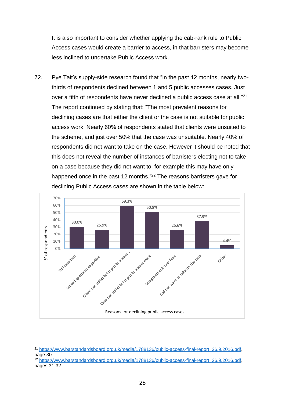It is also important to consider whether applying the cab-rank rule to Public Access cases would create a barrier to access, in that barristers may become less inclined to undertake Public Access work.

72. Pye Tait's supply-side research found that "In the past 12 months, nearly twothirds of respondents declined between 1 and 5 public accesses cases. Just over a fifth of respondents have never declined a public access case at all."<sup>21</sup> The report continued by stating that: "The most prevalent reasons for declining cases are that either the client or the case is not suitable for public access work. Nearly 60% of respondents stated that clients were unsuited to the scheme, and just over 50% that the case was unsuitable. Nearly 40% of respondents did not want to take on the case. However it should be noted that this does not reveal the number of instances of barristers electing not to take on a case because they did not want to, for example this may have only happened once in the past 12 months."<sup>22</sup> The reasons barristers gave for declining Public Access cases are shown in the table below:



<sup>21</sup> [https://www.barstandardsboard.org.uk/media/1788136/public-access-final-report\\_26.9.2016.pdf,](https://www.barstandardsboard.org.uk/media/1788136/public-access-final-report_26.9.2016.pdf) page 30

<sup>22</sup> [https://www.barstandardsboard.org.uk/media/1788136/public-access-final-report\\_26.9.2016.pdf,](https://www.barstandardsboard.org.uk/media/1788136/public-access-final-report_26.9.2016.pdf) pages 31-32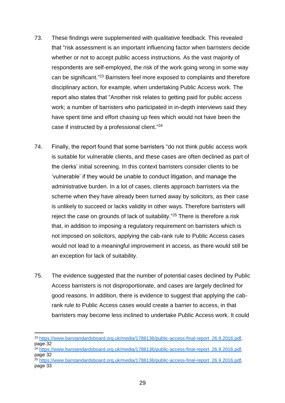- 73. These findings were supplemented with qualitative feedback. This revealed that "risk assessment is an important influencing factor when barristers decide whether or not to accept public access instructions. As the vast majority of respondents are self-employed, the risk of the work going wrong in some way can be significant." <sup>23</sup> Barristers feel more exposed to complaints and therefore disciplinary action, for example, when undertaking Public Access work. The report also states that "Another risk relates to getting paid for public access work; a number of barristers who participated in in-depth interviews said they have spent time and effort chasing up fees which would not have been the case if instructed by a professional client."<sup>24</sup>
- 74. Finally, the report found that some barristers "do not think public access work is suitable for vulnerable clients, and these cases are often declined as part of the clerks' initial screening. In this context barristers consider clients to be 'vulnerable' if they would be unable to conduct litigation, and manage the administrative burden. In a lot of cases, clients approach barristers via the scheme when they have already been turned away by solicitors, as their case is unlikely to succeed or lacks validity in other ways. Therefore barristers will reject the case on grounds of lack of suitability."<sup>25</sup> There is therefore a risk that, in addition to imposing a regulatory requirement on barristers which is not imposed on solicitors, applying the cab-rank rule to Public Access cases would not lead to a meaningful improvement in access, as there would still be an exception for lack of suitability.
- 75. The evidence suggested that the number of potential cases declined by Public Access barristers is not disproportionate, and cases are largely declined for good reasons. In addition, there is evidence to suggest that applying the cabrank rule to Public Access cases would create a barrier to access, in that barristers may become less inclined to undertake Public Access work. It could

<sup>&</sup>lt;sup>23</sup> https://www.barstandardsboard.org.uk/media/1788136/public-access-final-report\_26.9.2016.pdf page 32

<sup>24</sup> [https://www.barstandardsboard.org.uk/media/1788136/public-access-final-report\\_26.9.2016.pdf,](https://www.barstandardsboard.org.uk/media/1788136/public-access-final-report_26.9.2016.pdf) page 32

<sup>25</sup> [https://www.barstandardsboard.org.uk/media/1788136/public-access-final-report\\_26.9.2016.pdf,](https://www.barstandardsboard.org.uk/media/1788136/public-access-final-report_26.9.2016.pdf) page 33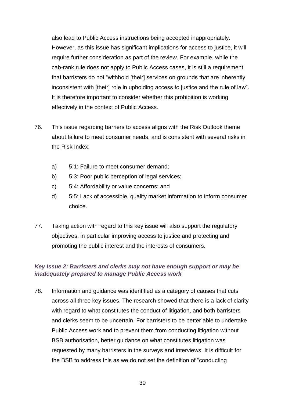also lead to Public Access instructions being accepted inappropriately. However, as this issue has significant implications for access to justice, it will require further consideration as part of the review. For example, while the cab-rank rule does not apply to Public Access cases, it is still a requirement that barristers do not "withhold [their] services on grounds that are inherently inconsistent with [their] role in upholding access to justice and the rule of law". It is therefore important to consider whether this prohibition is working effectively in the context of Public Access.

- 76. This issue regarding barriers to access aligns with the Risk Outlook theme about failure to meet consumer needs, and is consistent with several risks in the Risk Index:
	- a) 5:1: Failure to meet consumer demand;
	- b) 5:3: Poor public perception of legal services;
	- c) 5:4: Affordability or value concerns; and
	- d) 5:5: Lack of accessible, quality market information to inform consumer choice.
- 77. Taking action with regard to this key issue will also support the regulatory objectives, in particular improving access to justice and protecting and promoting the public interest and the interests of consumers.

# <span id="page-32-0"></span>*Key Issue 2: Barristers and clerks may not have enough support or may be inadequately prepared to manage Public Access work*

78. Information and guidance was identified as a category of causes that cuts across all three key issues. The research showed that there is a lack of clarity with regard to what constitutes the conduct of litigation, and both barristers and clerks seem to be uncertain. For barristers to be better able to undertake Public Access work and to prevent them from conducting litigation without BSB authorisation, better guidance on what constitutes litigation was requested by many barristers in the surveys and interviews. It is difficult for the BSB to address this as we do not set the definition of "conducting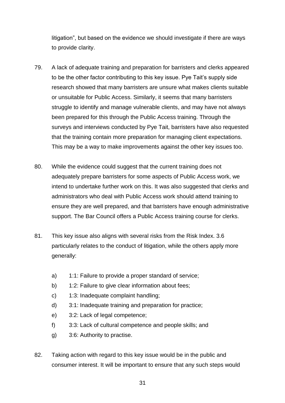litigation", but based on the evidence we should investigate if there are ways to provide clarity.

- 79. A lack of adequate training and preparation for barristers and clerks appeared to be the other factor contributing to this key issue. Pye Tait's supply side research showed that many barristers are unsure what makes clients suitable or unsuitable for Public Access. Similarly, it seems that many barristers struggle to identify and manage vulnerable clients, and may have not always been prepared for this through the Public Access training. Through the surveys and interviews conducted by Pye Tait, barristers have also requested that the training contain more preparation for managing client expectations. This may be a way to make improvements against the other key issues too.
- 80. While the evidence could suggest that the current training does not adequately prepare barristers for some aspects of Public Access work, we intend to undertake further work on this. It was also suggested that clerks and administrators who deal with Public Access work should attend training to ensure they are well prepared, and that barristers have enough administrative support. The Bar Council offers a Public Access training course for clerks.
- 81. This key issue also aligns with several risks from the Risk Index. 3.6 particularly relates to the conduct of litigation, while the others apply more generally:
	- a) 1:1: Failure to provide a proper standard of service;
	- b) 1:2: Failure to give clear information about fees;
	- c) 1:3: Inadequate complaint handling;
	- d) 3:1: Inadequate training and preparation for practice;
	- e) 3:2: Lack of legal competence;
	- f) 3:3: Lack of cultural competence and people skills; and
	- g) 3:6: Authority to practise.
- 82. Taking action with regard to this key issue would be in the public and consumer interest. It will be important to ensure that any such steps would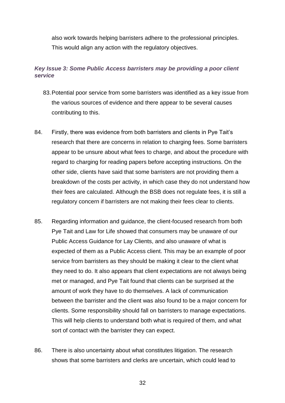also work towards helping barristers adhere to the professional principles. This would align any action with the regulatory objectives.

# <span id="page-34-0"></span>*Key Issue 3: Some Public Access barristers may be providing a poor client service*

- 83.Potential poor service from some barristers was identified as a key issue from the various sources of evidence and there appear to be several causes contributing to this.
- 84. Firstly, there was evidence from both barristers and clients in Pye Tait's research that there are concerns in relation to charging fees. Some barristers appear to be unsure about what fees to charge, and about the procedure with regard to charging for reading papers before accepting instructions. On the other side, clients have said that some barristers are not providing them a breakdown of the costs per activity, in which case they do not understand how their fees are calculated. Although the BSB does not regulate fees, it is still a regulatory concern if barristers are not making their fees clear to clients.
- 85. Regarding information and guidance, the client-focused research from both Pye Tait and Law for Life showed that consumers may be unaware of our Public Access Guidance for Lay Clients, and also unaware of what is expected of them as a Public Access client. This may be an example of poor service from barristers as they should be making it clear to the client what they need to do. It also appears that client expectations are not always being met or managed, and Pye Tait found that clients can be surprised at the amount of work they have to do themselves. A lack of communication between the barrister and the client was also found to be a major concern for clients. Some responsibility should fall on barristers to manage expectations. This will help clients to understand both what is required of them, and what sort of contact with the barrister they can expect.
- 86. There is also uncertainty about what constitutes litigation. The research shows that some barristers and clerks are uncertain, which could lead to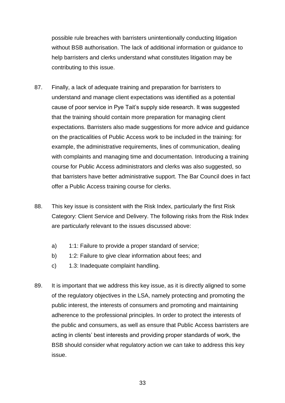possible rule breaches with barristers unintentionally conducting litigation without BSB authorisation. The lack of additional information or guidance to help barristers and clerks understand what constitutes litigation may be contributing to this issue.

- 87. Finally, a lack of adequate training and preparation for barristers to understand and manage client expectations was identified as a potential cause of poor service in Pye Tait's supply side research. It was suggested that the training should contain more preparation for managing client expectations. Barristers also made suggestions for more advice and guidance on the practicalities of Public Access work to be included in the training: for example, the administrative requirements, lines of communication, dealing with complaints and managing time and documentation. Introducing a training course for Public Access administrators and clerks was also suggested, so that barristers have better administrative support. The Bar Council does in fact offer a Public Access training course for clerks.
- 88. This key issue is consistent with the Risk Index, particularly the first Risk Category: Client Service and Delivery. The following risks from the Risk Index are particularly relevant to the issues discussed above:
	- a) 1:1: Failure to provide a proper standard of service;
	- b) 1:2: Failure to give clear information about fees; and
	- c) 1.3: Inadequate complaint handling.
- 89. It is important that we address this key issue, as it is directly aligned to some of the regulatory objectives in the LSA, namely protecting and promoting the public interest, the interests of consumers and promoting and maintaining adherence to the professional principles. In order to protect the interests of the public and consumers, as well as ensure that Public Access barristers are acting in clients' best interests and providing proper standards of work, the BSB should consider what regulatory action we can take to address this key issue.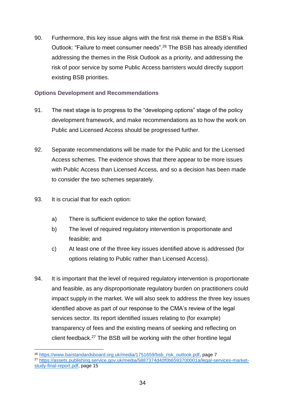90. Furthermore, this key issue aligns with the first risk theme in the BSB's Risk Outlook: "Failure to meet consumer needs".<sup>26</sup> The BSB has already identified addressing the themes in the Risk Outlook as a priority, and addressing the risk of poor service by some Public Access barristers would directly support existing BSB priorities.

# <span id="page-36-0"></span>**Options Development and Recommendations**

- 91. The next stage is to progress to the "developing options" stage of the policy development framework, and make recommendations as to how the work on Public and Licensed Access should be progressed further.
- 92. Separate recommendations will be made for the Public and for the Licensed Access schemes. The evidence shows that there appear to be more issues with Public Access than Licensed Access, and so a decision has been made to consider the two schemes separately.
- 93. It is crucial that for each option:

- a) There is sufficient evidence to take the option forward;
- b) The level of required regulatory intervention is proportionate and feasible; and
- c) At least one of the three key issues identified above is addressed (for options relating to Public rather than Licensed Access).
- 94. It is important that the level of required regulatory intervention is proportionate and feasible, as any disproportionate regulatory burden on practitioners could impact supply in the market. We will also seek to address the three key issues identified above as part of our response to the CMA's review of the legal services sector. Its report identified issues relating to (for example) transparency of fees and the existing means of seeking and reflecting on client feedback.<sup>27</sup> The BSB will be working with the other frontline legal

<sup>&</sup>lt;sup>26</sup> [https://www.barstandardsboard.org.uk/media/1751659/bsb\\_risk\\_outlook.pdf,](https://www.barstandardsboard.org.uk/media/1751659/bsb_risk_outlook.pdf) page 7

<sup>27</sup> [https://assets.publishing.service.gov.uk/media/5887374d40f0b6593700001a/legal-services-market](https://assets.publishing.service.gov.uk/media/5887374d40f0b6593700001a/legal-services-market-study-final-report.pdf)[study-final-report.pdf,](https://assets.publishing.service.gov.uk/media/5887374d40f0b6593700001a/legal-services-market-study-final-report.pdf) page 15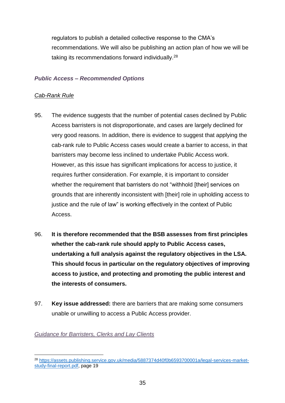regulators to publish a detailed collective response to the CMA's recommendations. We will also be publishing an action plan of how we will be taking its recommendations forward individually.<sup>28</sup>

#### <span id="page-37-0"></span>*Public Access – Recommended Options*

#### *Cab-Rank Rule*

- 95. The evidence suggests that the number of potential cases declined by Public Access barristers is not disproportionate, and cases are largely declined for very good reasons. In addition, there is evidence to suggest that applying the cab-rank rule to Public Access cases would create a barrier to access, in that barristers may become less inclined to undertake Public Access work. However, as this issue has significant implications for access to justice, it requires further consideration. For example, it is important to consider whether the requirement that barristers do not "withhold [their] services on grounds that are inherently inconsistent with [their] role in upholding access to justice and the rule of law" is working effectively in the context of Public Access.
- 96. **It is therefore recommended that the BSB assesses from first principles whether the cab-rank rule should apply to Public Access cases, undertaking a full analysis against the regulatory objectives in the LSA. This should focus in particular on the regulatory objectives of improving access to justice, and protecting and promoting the public interest and the interests of consumers.**
- 97. **Key issue addressed:** there are barriers that are making some consumers unable or unwilling to access a Public Access provider.

#### <span id="page-37-1"></span>*Guidance for Barristers, Clerks and Lay Clients*

<sup>1</sup> <sup>28</sup> [https://assets.publishing.service.gov.uk/media/5887374d40f0b6593700001a/legal-services-market](https://assets.publishing.service.gov.uk/media/5887374d40f0b6593700001a/legal-services-market-study-final-report.pdf)[study-final-report.pdf,](https://assets.publishing.service.gov.uk/media/5887374d40f0b6593700001a/legal-services-market-study-final-report.pdf) page 19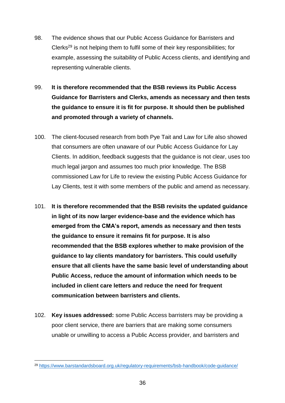- 98. The evidence shows that our Public Access Guidance for Barristers and Clerks<sup>29</sup> is not helping them to fulfil some of their key responsibilities; for example, assessing the suitability of Public Access clients, and identifying and representing vulnerable clients.
- 99. **It is therefore recommended that the BSB reviews its Public Access Guidance for Barristers and Clerks, amends as necessary and then tests the guidance to ensure it is fit for purpose. It should then be published and promoted through a variety of channels.**
- 100. The client-focused research from both Pye Tait and Law for Life also showed that consumers are often unaware of our Public Access Guidance for Lay Clients. In addition, feedback suggests that the guidance is not clear, uses too much legal jargon and assumes too much prior knowledge. The BSB commissioned Law for Life to review the existing Public Access Guidance for Lay Clients, test it with some members of the public and amend as necessary.
- 101. **It is therefore recommended that the BSB revisits the updated guidance in light of its now larger evidence-base and the evidence which has emerged from the CMA's report, amends as necessary and then tests the guidance to ensure it remains fit for purpose. It is also recommended that the BSB explores whether to make provision of the guidance to lay clients mandatory for barristers. This could usefully ensure that all clients have the same basic level of understanding about Public Access, reduce the amount of information which needs to be included in client care letters and reduce the need for frequent communication between barristers and clients.**
- 102. **Key issues addressed:** some Public Access barristers may be providing a poor client service, there are barriers that are making some consumers unable or unwilling to access a Public Access provider, and barristers and

<sup>29</sup> <https://www.barstandardsboard.org.uk/regulatory-requirements/bsb-handbook/code-guidance/>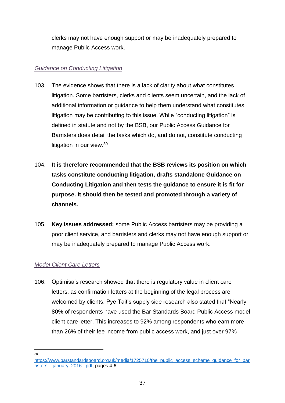clerks may not have enough support or may be inadequately prepared to manage Public Access work.

# <span id="page-39-0"></span>*Guidance on Conducting Litigation*

- 103. The evidence shows that there is a lack of clarity about what constitutes litigation. Some barristers, clerks and clients seem uncertain, and the lack of additional information or guidance to help them understand what constitutes litigation may be contributing to this issue. While "conducting litigation" is defined in statute and not by the BSB, our Public Access Guidance for Barristers does detail the tasks which do, and do not, constitute conducting litigation in our view.<sup>30</sup>
- 104. **It is therefore recommended that the BSB reviews its position on which tasks constitute conducting litigation, drafts standalone Guidance on Conducting Litigation and then tests the guidance to ensure it is fit for purpose. It should then be tested and promoted through a variety of channels.**
- 105. **Key issues addressed:** some Public Access barristers may be providing a poor client service, and barristers and clerks may not have enough support or may be inadequately prepared to manage Public Access work.

# <span id="page-39-1"></span>*Model Client Care Letters*

106. Optimisa's research showed that there is regulatory value in client care letters, as confirmation letters at the beginning of the legal process are welcomed by clients. Pye Tait's supply side research also stated that "Nearly 80% of respondents have used the Bar Standards Board Public Access model client care letter. This increases to 92% among respondents who earn more than 26% of their fee income from public access work, and just over 97%

 $\frac{1}{30}$ 

[https://www.barstandardsboard.org.uk/media/1725710/the\\_public\\_access\\_scheme\\_guidance\\_for\\_bar](https://www.barstandardsboard.org.uk/media/1725710/the_public_access_scheme_guidance_for_barristers__january_2016_.pdf) risters january 2016 .pdf, pages 4-6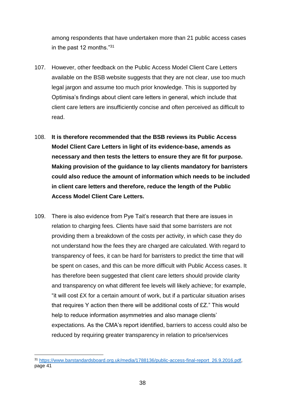among respondents that have undertaken more than 21 public access cases in the past 12 months."<sup>31</sup>

- 107. However, other feedback on the Public Access Model Client Care Letters available on the BSB website suggests that they are not clear, use too much legal jargon and assume too much prior knowledge. This is supported by Optimisa's findings about client care letters in general, which include that client care letters are insufficiently concise and often perceived as difficult to read.
- 108. **It is therefore recommended that the BSB reviews its Public Access Model Client Care Letters in light of its evidence-base, amends as necessary and then tests the letters to ensure they are fit for purpose. Making provision of the guidance to lay clients mandatory for barristers could also reduce the amount of information which needs to be included in client care letters and therefore, reduce the length of the Public Access Model Client Care Letters.**
- 109. There is also evidence from Pye Tait's research that there are issues in relation to charging fees. Clients have said that some barristers are not providing them a breakdown of the costs per activity, in which case they do not understand how the fees they are charged are calculated. With regard to transparency of fees, it can be hard for barristers to predict the time that will be spent on cases, and this can be more difficult with Public Access cases. It has therefore been suggested that client care letters should provide clarity and transparency on what different fee levels will likely achieve; for example, "it will cost £X for a certain amount of work, but if a particular situation arises that requires Y action then there will be additional costs of £Z." This would help to reduce information asymmetries and also manage clients' expectations. As the CMA's report identified, barriers to access could also be reduced by requiring greater transparency in relation to price/services

<sup>31</sup> [https://www.barstandardsboard.org.uk/media/1788136/public-access-final-report\\_26.9.2016.pdf,](https://www.barstandardsboard.org.uk/media/1788136/public-access-final-report_26.9.2016.pdf) page 41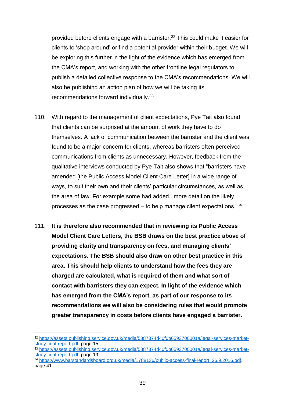provided before clients engage with a barrister.<sup>32</sup> This could make it easier for clients to 'shop around' or find a potential provider within their budget. We will be exploring this further in the light of the evidence which has emerged from the CMA's report, and working with the other frontline legal regulators to publish a detailed collective response to the CMA's recommendations. We will also be publishing an action plan of how we will be taking its recommendations forward individually.<sup>33</sup>

- 110. With regard to the management of client expectations, Pye Tait also found that clients can be surprised at the amount of work they have to do themselves. A lack of communication between the barrister and the client was found to be a major concern for clients, whereas barristers often perceived communications from clients as unnecessary. However, feedback from the qualitative interviews conducted by Pye Tait also shows that "barristers have amended [the Public Access Model Client Care Letter] in a wide range of ways, to suit their own and their clients' particular circumstances, as well as the area of law. For example some had added...more detail on the likely processes as the case progressed  $-$  to help manage client expectations.<sup>"34</sup>
- 111. **It is therefore also recommended that in reviewing its Public Access Model Client Care Letters, the BSB draws on the best practice above of providing clarity and transparency on fees, and managing clients' expectations. The BSB should also draw on other best practice in this area. This should help clients to understand how the fees they are charged are calculated, what is required of them and what sort of contact with barristers they can expect. In light of the evidence which has emerged from the CMA's report, as part of our response to its recommendations we will also be considering rules that would promote greater transparency in costs before clients have engaged a barrister.**

<sup>32</sup> [https://assets.publishing.service.gov.uk/media/5887374d40f0b6593700001a/legal-services-market](https://assets.publishing.service.gov.uk/media/5887374d40f0b6593700001a/legal-services-market-study-final-report.pdf)[study-final-report.pdf,](https://assets.publishing.service.gov.uk/media/5887374d40f0b6593700001a/legal-services-market-study-final-report.pdf) page 15

<sup>33</sup> [https://assets.publishing.service.gov.uk/media/5887374d40f0b6593700001a/legal-services-market](https://assets.publishing.service.gov.uk/media/5887374d40f0b6593700001a/legal-services-market-study-final-report.pdf)[study-final-report.pdf,](https://assets.publishing.service.gov.uk/media/5887374d40f0b6593700001a/legal-services-market-study-final-report.pdf) page 19

<sup>&</sup>lt;sup>34</sup> [https://www.barstandardsboard.org.uk/media/1788136/public-access-final-report\\_26.9.2016.pdf,](https://www.barstandardsboard.org.uk/media/1788136/public-access-final-report_26.9.2016.pdf) page 41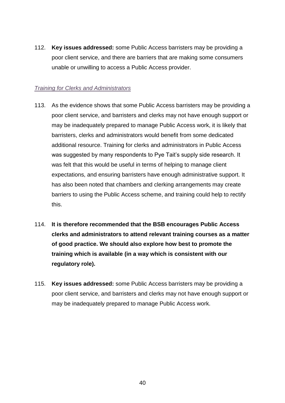112. **Key issues addressed:** some Public Access barristers may be providing a poor client service, and there are barriers that are making some consumers unable or unwilling to access a Public Access provider.

#### <span id="page-42-0"></span>*Training for Clerks and Administrators*

- 113. As the evidence shows that some Public Access barristers may be providing a poor client service, and barristers and clerks may not have enough support or may be inadequately prepared to manage Public Access work, it is likely that barristers, clerks and administrators would benefit from some dedicated additional resource. Training for clerks and administrators in Public Access was suggested by many respondents to Pye Tait's supply side research. It was felt that this would be useful in terms of helping to manage client expectations, and ensuring barristers have enough administrative support. It has also been noted that chambers and clerking arrangements may create barriers to using the Public Access scheme, and training could help to rectify this.
- 114. **It is therefore recommended that the BSB encourages Public Access clerks and administrators to attend relevant training courses as a matter of good practice. We should also explore how best to promote the training which is available (in a way which is consistent with our regulatory role).**
- 115. **Key issues addressed:** some Public Access barristers may be providing a poor client service, and barristers and clerks may not have enough support or may be inadequately prepared to manage Public Access work.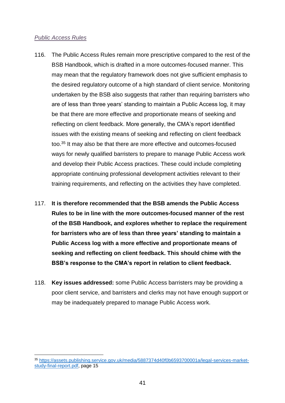#### <span id="page-43-0"></span>*Public Access Rules*

- 116. The Public Access Rules remain more prescriptive compared to the rest of the BSB Handbook, which is drafted in a more outcomes-focused manner. This may mean that the regulatory framework does not give sufficient emphasis to the desired regulatory outcome of a high standard of client service. Monitoring undertaken by the BSB also suggests that rather than requiring barristers who are of less than three years' standing to maintain a Public Access log, it may be that there are more effective and proportionate means of seeking and reflecting on client feedback. More generally, the CMA's report identified issues with the existing means of seeking and reflecting on client feedback too.<sup>35</sup> It may also be that there are more effective and outcomes-focused ways for newly qualified barristers to prepare to manage Public Access work and develop their Public Access practices. These could include completing appropriate continuing professional development activities relevant to their training requirements, and reflecting on the activities they have completed.
- 117. **It is therefore recommended that the BSB amends the Public Access Rules to be in line with the more outcomes-focused manner of the rest of the BSB Handbook, and explores whether to replace the requirement for barristers who are of less than three years' standing to maintain a Public Access log with a more effective and proportionate means of seeking and reflecting on client feedback. This should chime with the BSB's response to the CMA's report in relation to client feedback.**
- 118. **Key issues addressed:** some Public Access barristers may be providing a poor client service, and barristers and clerks may not have enough support or may be inadequately prepared to manage Public Access work.

<sup>35</sup> [https://assets.publishing.service.gov.uk/media/5887374d40f0b6593700001a/legal-services-market](https://assets.publishing.service.gov.uk/media/5887374d40f0b6593700001a/legal-services-market-study-final-report.pdf)[study-final-report.pdf,](https://assets.publishing.service.gov.uk/media/5887374d40f0b6593700001a/legal-services-market-study-final-report.pdf) page 15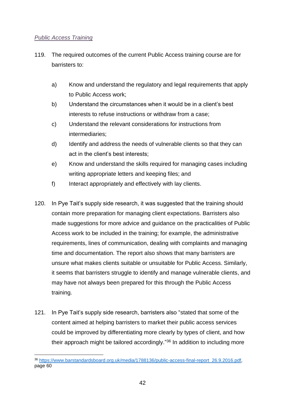# <span id="page-44-0"></span>*Public Access Training*

- 119. The required outcomes of the current Public Access training course are for barristers to:
	- a) Know and understand the regulatory and legal requirements that apply to Public Access work;
	- b) Understand the circumstances when it would be in a client's best interests to refuse instructions or withdraw from a case;
	- c) Understand the relevant considerations for instructions from intermediaries;
	- d) Identify and address the needs of vulnerable clients so that they can act in the client's best interests;
	- e) Know and understand the skills required for managing cases including writing appropriate letters and keeping files; and
	- f) Interact appropriately and effectively with lay clients.
- 120. In Pye Tait's supply side research, it was suggested that the training should contain more preparation for managing client expectations. Barristers also made suggestions for more advice and guidance on the practicalities of Public Access work to be included in the training; for example, the administrative requirements, lines of communication, dealing with complaints and managing time and documentation. The report also shows that many barristers are unsure what makes clients suitable or unsuitable for Public Access. Similarly, it seems that barristers struggle to identify and manage vulnerable clients, and may have not always been prepared for this through the Public Access training.
- 121. In Pye Tait's supply side research, barristers also "stated that some of the content aimed at helping barristers to market their public access services could be improved by differentiating more clearly by types of client, and how their approach might be tailored accordingly." <sup>36</sup> In addition to including more

<sup>1</sup> <sup>36</sup> [https://www.barstandardsboard.org.uk/media/1788136/public-access-final-report\\_26.9.2016.pdf,](https://www.barstandardsboard.org.uk/media/1788136/public-access-final-report_26.9.2016.pdf) page 60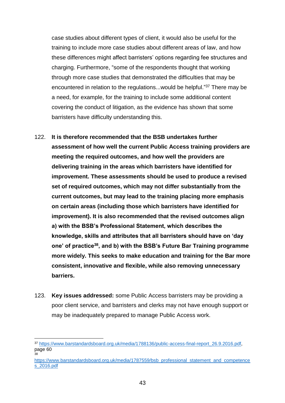case studies about different types of client, it would also be useful for the training to include more case studies about different areas of law, and how these differences might affect barristers' options regarding fee structures and charging. Furthermore, "some of the respondents thought that working through more case studies that demonstrated the difficulties that may be encountered in relation to the regulations...would be helpful."<sup>37</sup> There may be a need, for example, for the training to include some additional content covering the conduct of litigation, as the evidence has shown that some barristers have difficulty understanding this.

- 122. **It is therefore recommended that the BSB undertakes further assessment of how well the current Public Access training providers are meeting the required outcomes, and how well the providers are delivering training in the areas which barristers have identified for improvement. These assessments should be used to produce a revised set of required outcomes, which may not differ substantially from the current outcomes, but may lead to the training placing more emphasis on certain areas (including those which barristers have identified for improvement). It is also recommended that the revised outcomes align a) with the BSB's Professional Statement, which describes the knowledge, skills and attributes that all barristers should have on 'day one' of practice<sup>38</sup>, and b) with the BSB's Future Bar Training programme more widely. This seeks to make education and training for the Bar more consistent, innovative and flexible, while also removing unnecessary barriers.**
- 123. **Key issues addressed:** some Public Access barristers may be providing a poor client service, and barristers and clerks may not have enough support or may be inadequately prepared to manage Public Access work.

<sup>37</sup> [https://www.barstandardsboard.org.uk/media/1788136/public-access-final-report\\_26.9.2016.pdf,](https://www.barstandardsboard.org.uk/media/1788136/public-access-final-report_26.9.2016.pdf) page 60 38

[https://www.barstandardsboard.org.uk/media/1787559/bsb\\_professional\\_statement\\_and\\_competence](https://www.barstandardsboard.org.uk/media/1787559/bsb_professional_statement_and_competences_2016.pdf) [s\\_2016.pdf](https://www.barstandardsboard.org.uk/media/1787559/bsb_professional_statement_and_competences_2016.pdf)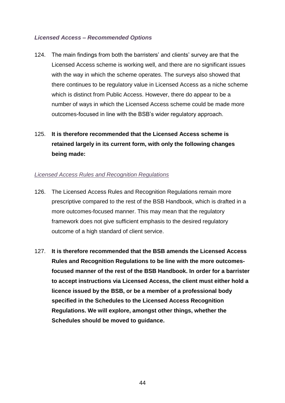#### <span id="page-46-0"></span>*Licensed Access – Recommended Options*

- 124. The main findings from both the barristers' and clients' survey are that the Licensed Access scheme is working well, and there are no significant issues with the way in which the scheme operates. The surveys also showed that there continues to be regulatory value in Licensed Access as a niche scheme which is distinct from Public Access. However, there do appear to be a number of ways in which the Licensed Access scheme could be made more outcomes-focused in line with the BSB's wider regulatory approach.
- 125. **It is therefore recommended that the Licensed Access scheme is retained largely in its current form, with only the following changes being made:**

#### <span id="page-46-1"></span>*Licensed Access Rules and Recognition Regulations*

- 126. The Licensed Access Rules and Recognition Regulations remain more prescriptive compared to the rest of the BSB Handbook, which is drafted in a more outcomes-focused manner. This may mean that the regulatory framework does not give sufficient emphasis to the desired regulatory outcome of a high standard of client service.
- 127. **It is therefore recommended that the BSB amends the Licensed Access Rules and Recognition Regulations to be line with the more outcomesfocused manner of the rest of the BSB Handbook. In order for a barrister to accept instructions via Licensed Access, the client must either hold a licence issued by the BSB, or be a member of a professional body specified in the Schedules to the Licensed Access Recognition Regulations. We will explore, amongst other things, whether the Schedules should be moved to guidance.**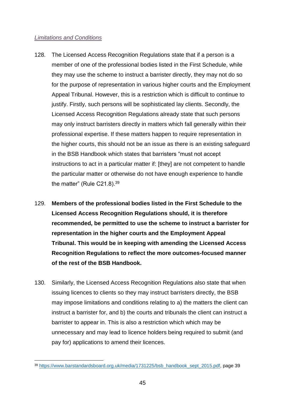#### <span id="page-47-0"></span>*Limitations and Conditions*

- 128. The Licensed Access Recognition Regulations state that if a person is a member of one of the professional bodies listed in the First Schedule, while they may use the scheme to instruct a barrister directly, they may not do so for the purpose of representation in various higher courts and the Employment Appeal Tribunal. However, this is a restriction which is difficult to continue to justify. Firstly, such persons will be sophisticated lay clients. Secondly, the Licensed Access Recognition Regulations already state that such persons may only instruct barristers directly in matters which fall generally within their professional expertise. If these matters happen to require representation in the higher courts, this should not be an issue as there is an existing safeguard in the BSB Handbook which states that barristers "must not accept instructions to act in a particular matter if: [they] are not competent to handle the particular matter or otherwise do not have enough experience to handle the matter" (Rule C21.8).<sup>39</sup>
- 129. **Members of the professional bodies listed in the First Schedule to the Licensed Access Recognition Regulations should, it is therefore recommended, be permitted to use the scheme to instruct a barrister for representation in the higher courts and the Employment Appeal Tribunal. This would be in keeping with amending the Licensed Access Recognition Regulations to reflect the more outcomes-focused manner of the rest of the BSB Handbook.**
- 130. Similarly, the Licensed Access Recognition Regulations also state that when issuing licences to clients so they may instruct barristers directly, the BSB may impose limitations and conditions relating to a) the matters the client can instruct a barrister for, and b) the courts and tribunals the client can instruct a barrister to appear in. This is also a restriction which which may be unnecessary and may lead to licence holders being required to submit (and pay for) applications to amend their licences.

<sup>39</sup> [https://www.barstandardsboard.org.uk/media/1731225/bsb\\_handbook\\_sept\\_2015.pdf,](https://www.barstandardsboard.org.uk/media/1731225/bsb_handbook_sept_2015.pdf) page 39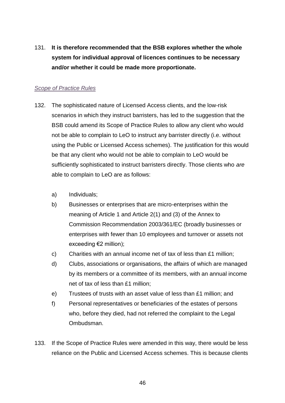131. **It is therefore recommended that the BSB explores whether the whole system for individual approval of licences continues to be necessary and/or whether it could be made more proportionate.**

#### <span id="page-48-0"></span>*Scope of Practice Rules*

- 132. The sophisticated nature of Licensed Access clients, and the low-risk scenarios in which they instruct barristers, has led to the suggestion that the BSB could amend its Scope of Practice Rules to allow any client who would not be able to complain to LeO to instruct any barrister directly (i.e. without using the Public or Licensed Access schemes). The justification for this would be that any client who would not be able to complain to LeO would be sufficiently sophisticated to instruct barristers directly. Those clients who *are* able to complain to LeO are as follows:
	- a) Individuals;
	- b) Businesses or enterprises that are micro-enterprises within the meaning of Article 1 and Article 2(1) and (3) of the Annex to Commission Recommendation 2003/361/EC (broadly businesses or enterprises with fewer than 10 employees and turnover or assets not exceeding €2 million);
	- c) Charities with an annual income net of tax of less than £1 million;
	- d) Clubs, associations or organisations, the affairs of which are managed by its members or a committee of its members, with an annual income net of tax of less than £1 million;
	- e) Trustees of trusts with an asset value of less than £1 million; and
	- f) Personal representatives or beneficiaries of the estates of persons who, before they died, had not referred the complaint to the Legal Ombudsman.
- 133. If the Scope of Practice Rules were amended in this way, there would be less reliance on the Public and Licensed Access schemes. This is because clients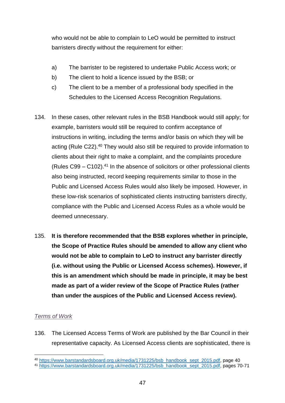who would not be able to complain to LeO would be permitted to instruct barristers directly without the requirement for either:

- a) The barrister to be registered to undertake Public Access work; or
- b) The client to hold a licence issued by the BSB; or
- c) The client to be a member of a professional body specified in the Schedules to the Licensed Access Recognition Regulations.
- 134. In these cases, other relevant rules in the BSB Handbook would still apply; for example, barristers would still be required to confirm acceptance of instructions in writing, including the terms and/or basis on which they will be acting (Rule C22).<sup>40</sup> They would also still be required to provide information to clients about their right to make a complaint, and the complaints procedure (Rules  $C99 - C102$ ).<sup>41</sup> In the absence of solicitors or other professional clients also being instructed, record keeping requirements similar to those in the Public and Licensed Access Rules would also likely be imposed. However, in these low-risk scenarios of sophisticated clients instructing barristers directly, compliance with the Public and Licensed Access Rules as a whole would be deemed unnecessary.
- 135. **It is therefore recommended that the BSB explores whether in principle, the Scope of Practice Rules should be amended to allow any client who would not be able to complain to LeO to instruct any barrister directly (i.e. without using the Public or Licensed Access schemes). However, if this is an amendment which should be made in principle, it may be best made as part of a wider review of the Scope of Practice Rules (rather than under the auspices of the Public and Licensed Access review).**

# <span id="page-49-0"></span>*Terms of Work*

1

136. The Licensed Access Terms of Work are published by the Bar Council in their representative capacity. As Licensed Access clients are sophisticated, there is

<sup>40</sup> [https://www.barstandardsboard.org.uk/media/1731225/bsb\\_handbook\\_sept\\_2015.pdf,](https://www.barstandardsboard.org.uk/media/1731225/bsb_handbook_sept_2015.pdf) page 40

<sup>41</sup> [https://www.barstandardsboard.org.uk/media/1731225/bsb\\_handbook\\_sept\\_2015.pdf,](https://www.barstandardsboard.org.uk/media/1731225/bsb_handbook_sept_2015.pdf) pages 70-71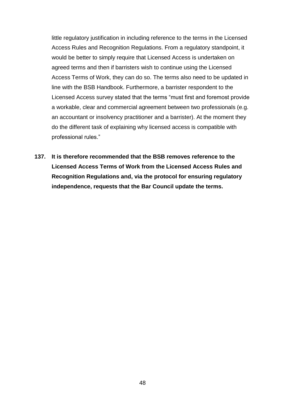little regulatory justification in including reference to the terms in the Licensed Access Rules and Recognition Regulations. From a regulatory standpoint, it would be better to simply require that Licensed Access is undertaken on agreed terms and then if barristers wish to continue using the Licensed Access Terms of Work, they can do so. The terms also need to be updated in line with the BSB Handbook. Furthermore, a barrister respondent to the Licensed Access survey stated that the terms "must first and foremost provide a workable, clear and commercial agreement between two professionals (e.g. an accountant or insolvency practitioner and a barrister). At the moment they do the different task of explaining why licensed access is compatible with professional rules."

**137. It is therefore recommended that the BSB removes reference to the Licensed Access Terms of Work from the Licensed Access Rules and Recognition Regulations and, via the protocol for ensuring regulatory independence, requests that the Bar Council update the terms.**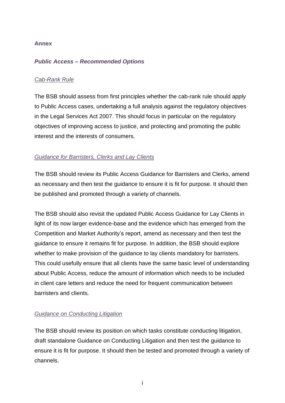#### <span id="page-51-0"></span>**Annex**

#### <span id="page-51-1"></span>*Public Access – Recommended Options*

#### <span id="page-51-2"></span>*Cab-Rank Rule*

The BSB should assess from first principles whether the cab-rank rule should apply to Public Access cases, undertaking a full analysis against the regulatory objectives in the Legal Services Act 2007. This should focus in particular on the regulatory objectives of improving access to justice, and protecting and promoting the public interest and the interests of consumers.

#### <span id="page-51-3"></span>*Guidance for Barristers, Clerks and Lay Clients*

The BSB should review its Public Access Guidance for Barristers and Clerks, amend as necessary and then test the guidance to ensure it is fit for purpose. It should then be published and promoted through a variety of channels.

The BSB should also revisit the updated Public Access Guidance for Lay Clients in light of its now larger evidence-base and the evidence which has emerged from the Competition and Market Authority's report, amend as necessary and then test the guidance to ensure it remains fit for purpose. In addition, the BSB should explore whether to make provision of the guidance to lay clients mandatory for barristers. This could usefully ensure that all clients have the same basic level of understanding about Public Access, reduce the amount of information which needs to be included in client care letters and reduce the need for frequent communication between barristers and clients.

# <span id="page-51-4"></span>*Guidance on Conducting Litigation*

The BSB should review its position on which tasks constitute conducting litigation, draft standalone Guidance on Conducting Litigation and then test the guidance to ensure it is fit for purpose. It should then be tested and promoted through a variety of channels.

i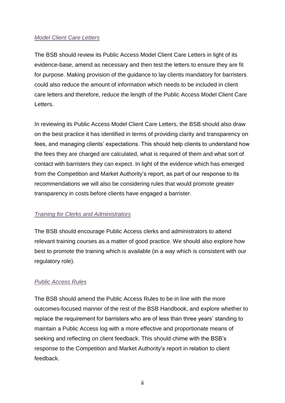# <span id="page-52-0"></span>*Model Client Care Letters*

The BSB should review its Public Access Model Client Care Letters in light of its evidence-base, amend as necessary and then test the letters to ensure they are fit for purpose. Making provision of the guidance to lay clients mandatory for barristers could also reduce the amount of information which needs to be included in client care letters and therefore, reduce the length of the Public Access Model Client Care Letters.

In reviewing its Public Access Model Client Care Letters, the BSB should also draw on the best practice it has identified in terms of providing clarity and transparency on fees, and managing clients' expectations. This should help clients to understand how the fees they are charged are calculated, what is required of them and what sort of contact with barristers they can expect. In light of the evidence which has emerged from the Competition and Market Authority's report, as part of our response to its recommendations we will also be considering rules that would promote greater transparency in costs before clients have engaged a barrister.

#### <span id="page-52-1"></span>*Training for Clerks and Administrators*

The BSB should encourage Public Access clerks and administrators to attend relevant training courses as a matter of good practice. We should also explore how best to promote the training which is available (in a way which is consistent with our regulatory role).

# <span id="page-52-2"></span>*Public Access Rules*

The BSB should amend the Public Access Rules to be in line with the more outcomes-focused manner of the rest of the BSB Handbook, and explore whether to replace the requirement for barristers who are of less than three years' standing to maintain a Public Access log with a more effective and proportionate means of seeking and reflecting on client feedback. This should chime with the BSB's response to the Competition and Market Authority's report in relation to client feedback.

ii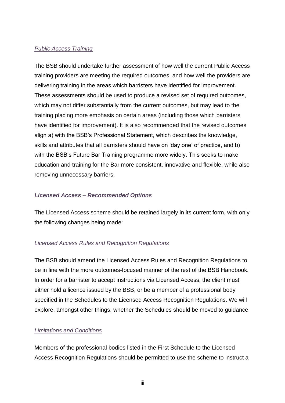#### <span id="page-53-0"></span>*Public Access Training*

The BSB should undertake further assessment of how well the current Public Access training providers are meeting the required outcomes, and how well the providers are delivering training in the areas which barristers have identified for improvement. These assessments should be used to produce a revised set of required outcomes, which may not differ substantially from the current outcomes, but may lead to the training placing more emphasis on certain areas (including those which barristers have identified for improvement). It is also recommended that the revised outcomes align a) with the BSB's Professional Statement, which describes the knowledge, skills and attributes that all barristers should have on 'day one' of practice, and b) with the BSB's Future Bar Training programme more widely. This seeks to make education and training for the Bar more consistent, innovative and flexible, while also removing unnecessary barriers.

#### <span id="page-53-1"></span>*Licensed Access – Recommended Options*

The Licensed Access scheme should be retained largely in its current form, with only the following changes being made:

# <span id="page-53-2"></span>*Licensed Access Rules and Recognition Regulations*

The BSB should amend the Licensed Access Rules and Recognition Regulations to be in line with the more outcomes-focused manner of the rest of the BSB Handbook. In order for a barrister to accept instructions via Licensed Access, the client must either hold a licence issued by the BSB, or be a member of a professional body specified in the Schedules to the Licensed Access Recognition Regulations. We will explore, amongst other things, whether the Schedules should be moved to guidance.

# <span id="page-53-3"></span>*Limitations and Conditions*

Members of the professional bodies listed in the First Schedule to the Licensed Access Recognition Regulations should be permitted to use the scheme to instruct a

iii